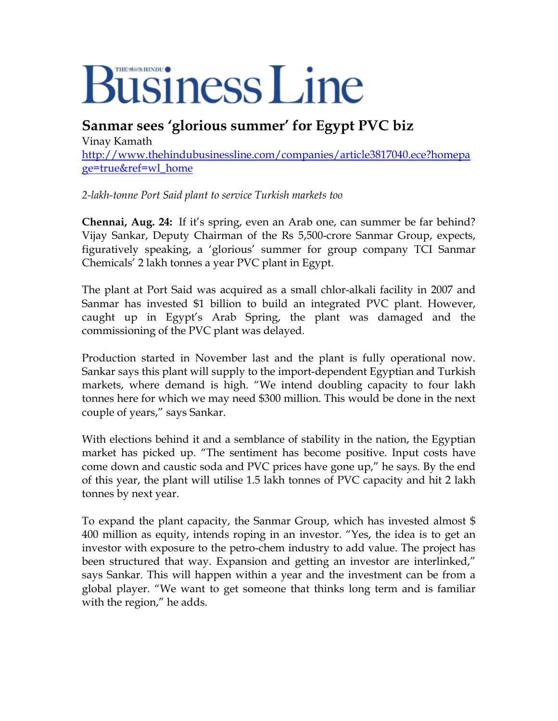## **Business Line**

**Sanmar sees 'glorious summer' for Egypt PVC biz** 

Vinay Kamath [http://www.thehindubusinessline.com/companies/article3817040.ece?homepa](http://www.thehindubusinessline.com/companies/article3817040.ece?homepage=true&ref=wl_home) [ge=true&ref=wl\\_home](http://www.thehindubusinessline.com/companies/article3817040.ece?homepage=true&ref=wl_home)

*2-lakh-tonne Port Said plant to service Turkish markets too* 

**Chennai, Aug. 24:** If it's spring, even an Arab one, can summer be far behind? Vijay Sankar, Deputy Chairman of the Rs 5,500-crore Sanmar Group, expects, figuratively speaking, a 'glorious' summer for group company TCI Sanmar Chemicals' 2 lakh tonnes a year PVC plant in Egypt.

The plant at Port Said was acquired as a small chlor-alkali facility in 2007 and Sanmar has invested \$1 billion to build an integrated PVC plant. However, caught up in Egypt's Arab Spring, the plant was damaged and the commissioning of the PVC plant was delayed.

Production started in November last and the plant is fully operational now. Sankar says this plant will supply to the import-dependent Egyptian and Turkish markets, where demand is high. "We intend doubling capacity to four lakh tonnes here for which we may need \$300 million. This would be done in the next couple of years," says Sankar.

With elections behind it and a semblance of stability in the nation, the Egyptian market has picked up. "The sentiment has become positive. Input costs have come down and caustic soda and PVC prices have gone up," he says. By the end of this year, the plant will utilise 1.5 lakh tonnes of PVC capacity and hit 2 lakh tonnes by next year.

To expand the plant capacity, the Sanmar Group, which has invested almost \$ 400 million as equity, intends roping in an investor. "Yes, the idea is to get an investor with exposure to the petro-chem industry to add value. The project has been structured that way. Expansion and getting an investor are interlinked," says Sankar. This will happen within a year and the investment can be from a global player. "We want to get someone that thinks long term and is familiar with the region," he adds.